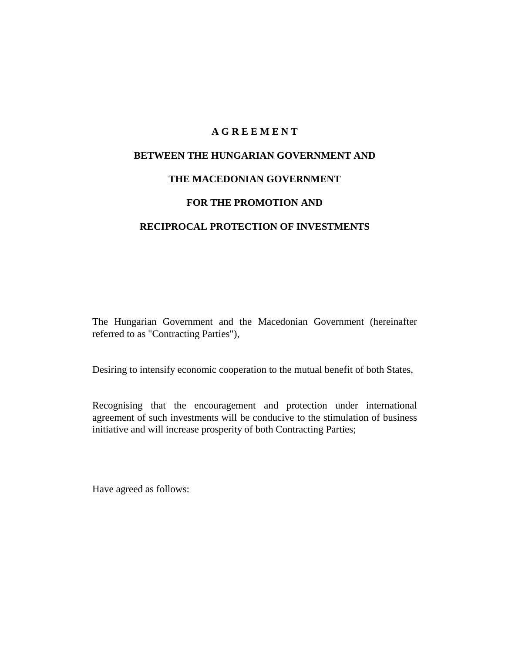## **A G R E E M E N T**

# **BETWEEN THE HUNGARIAN GOVERNMENT AND**

## **THE MACEDONIAN GOVERNMENT**

### **FOR THE PROMOTION AND**

### **RECIPROCAL PROTECTION OF INVESTMENTS**

The Hungarian Government and the Macedonian Government (hereinafter referred to as "Contracting Parties"),

Desiring to intensify economic cooperation to the mutual benefit of both States,

Recognising that the encouragement and protection under international agreement of such investments will be conducive to the stimulation of business initiative and will increase prosperity of both Contracting Parties;

Have agreed as follows: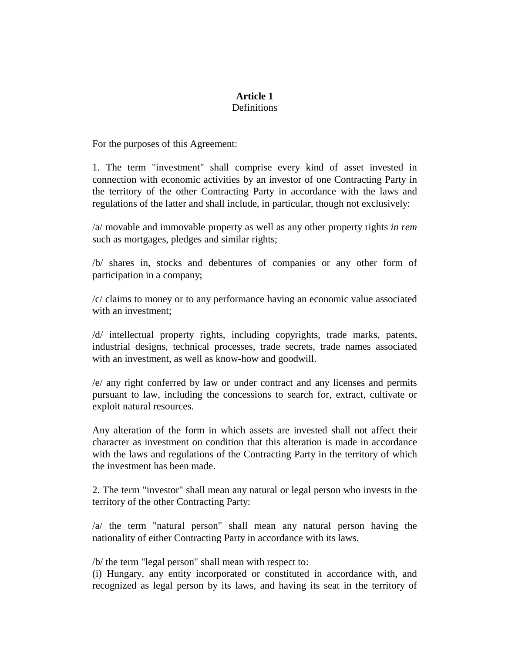### **Article 1 Definitions**

For the purposes of this Agreement:

1. The term "investment" shall comprise every kind of asset invested in connection with economic activities by an investor of one Contracting Party in the territory of the other Contracting Party in accordance with the laws and regulations of the latter and shall include, in particular, though not exclusively:

/a/ movable and immovable property as well as any other property rights *in rem* such as mortgages, pledges and similar rights;

/b/ shares in, stocks and debentures of companies or any other form of participation in a company;

/c/ claims to money or to any performance having an economic value associated with an investment;

/d/ intellectual property rights, including copyrights, trade marks, patents, industrial designs, technical processes, trade secrets, trade names associated with an investment, as well as know-how and goodwill.

/e/ any right conferred by law or under contract and any licenses and permits pursuant to law, including the concessions to search for, extract, cultivate or exploit natural resources.

Any alteration of the form in which assets are invested shall not affect their character as investment on condition that this alteration is made in accordance with the laws and regulations of the Contracting Party in the territory of which the investment has been made.

2. The term "investor" shall mean any natural or legal person who invests in the territory of the other Contracting Party:

/a/ the term "natural person" shall mean any natural person having the nationality of either Contracting Party in accordance with its laws.

/b/ the term "legal person" shall mean with respect to:

(i) Hungary, any entity incorporated or constituted in accordance with, and recognized as legal person by its laws, and having its seat in the territory of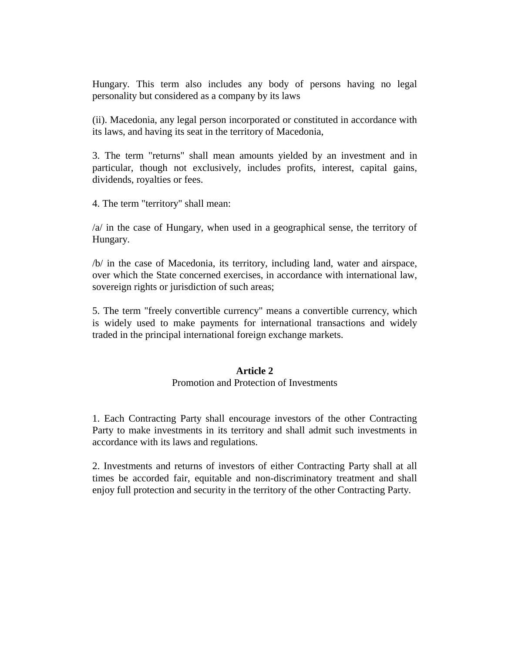Hungary. This term also includes any body of persons having no legal personality but considered as a company by its laws

(ii). Macedonia, any legal person incorporated or constituted in accordance with its laws, and having its seat in the territory of Macedonia,

3. The term "returns" shall mean amounts yielded by an investment and in particular, though not exclusively, includes profits, interest, capital gains, dividends, royalties or fees.

4. The term "territory" shall mean:

/a/ in the case of Hungary, when used in a geographical sense, the territory of Hungary.

/b/ in the case of Macedonia, its territory, including land, water and airspace, over which the State concerned exercises, in accordance with international law, sovereign rights or jurisdiction of such areas;

5. The term "freely convertible currency" means a convertible currency, which is widely used to make payments for international transactions and widely traded in the principal international foreign exchange markets.

### **Article 2**

### Promotion and Protection of Investments

1. Each Contracting Party shall encourage investors of the other Contracting Party to make investments in its territory and shall admit such investments in accordance with its laws and regulations.

2. Investments and returns of investors of either Contracting Party shall at all times be accorded fair, equitable and non-discriminatory treatment and shall enjoy full protection and security in the territory of the other Contracting Party.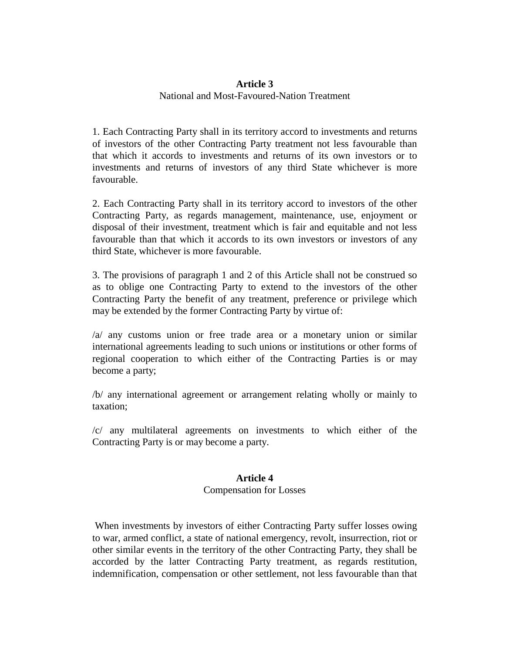## **Article 3**  National and Most-Favoured-Nation Treatment

1. Each Contracting Party shall in its territory accord to investments and returns of investors of the other Contracting Party treatment not less favourable than that which it accords to investments and returns of its own investors or to investments and returns of investors of any third State whichever is more favourable.

2. Each Contracting Party shall in its territory accord to investors of the other Contracting Party, as regards management, maintenance, use, enjoyment or disposal of their investment, treatment which is fair and equitable and not less favourable than that which it accords to its own investors or investors of any third State, whichever is more favourable.

3. The provisions of paragraph 1 and 2 of this Article shall not be construed so as to oblige one Contracting Party to extend to the investors of the other Contracting Party the benefit of any treatment, preference or privilege which may be extended by the former Contracting Party by virtue of:

/a/ any customs union or free trade area or a monetary union or similar international agreements leading to such unions or institutions or other forms of regional cooperation to which either of the Contracting Parties is or may become a party;

/b/ any international agreement or arrangement relating wholly or mainly to taxation;

/c/ any multilateral agreements on investments to which either of the Contracting Party is or may become a party.

## **Article 4**

## Compensation for Losses

 When investments by investors of either Contracting Party suffer losses owing to war, armed conflict, a state of national emergency, revolt, insurrection, riot or other similar events in the territory of the other Contracting Party, they shall be accorded by the latter Contracting Party treatment, as regards restitution, indemnification, compensation or other settlement, not less favourable than that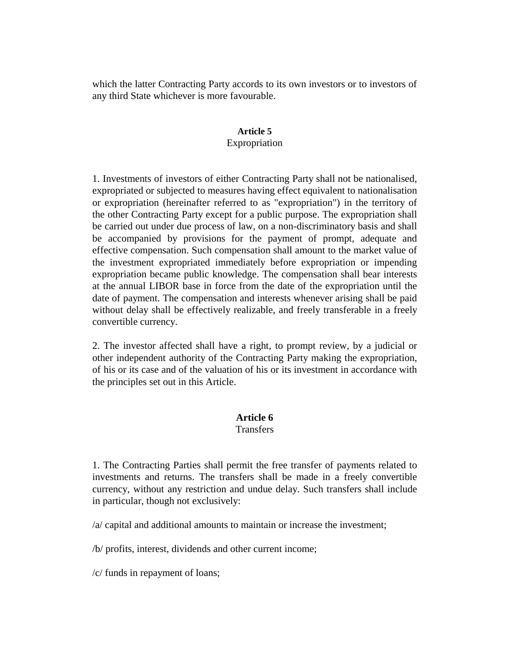which the latter Contracting Party accords to its own investors or to investors of any third State whichever is more favourable.

## **Article 5**  Expropriation

1. Investments of investors of either Contracting Party shall not be nationalised, expropriated or subjected to measures having effect equivalent to nationalisation or expropriation (hereinafter referred to as "expropriation") in the territory of the other Contracting Party except for a public purpose. The expropriation shall be carried out under due process of law, on a non-discriminatory basis and shall be accompanied by provisions for the payment of prompt, adequate and effective compensation. Such compensation shall amount to the market value of the investment expropriated immediately before expropriation or impending expropriation became public knowledge. The compensation shall bear interests at the annual LIBOR base in force from the date of the expropriation until the date of payment. The compensation and interests whenever arising shall be paid without delay shall be effectively realizable, and freely transferable in a freely convertible currency.

2. The investor affected shall have a right, to prompt review, by a judicial or other independent authority of the Contracting Party making the expropriation, of his or its case and of the valuation of his or its investment in accordance with the principles set out in this Article.

# **Article 6**

# **Transfers**

1. The Contracting Parties shall permit the free transfer of payments related to investments and returns. The transfers shall be made in a freely convertible currency, without any restriction and undue delay. Such transfers shall include in particular, though not exclusively:

/a/ capital and additional amounts to maintain or increase the investment;

/b/ profits, interest, dividends and other current income;

/c/ funds in repayment of loans;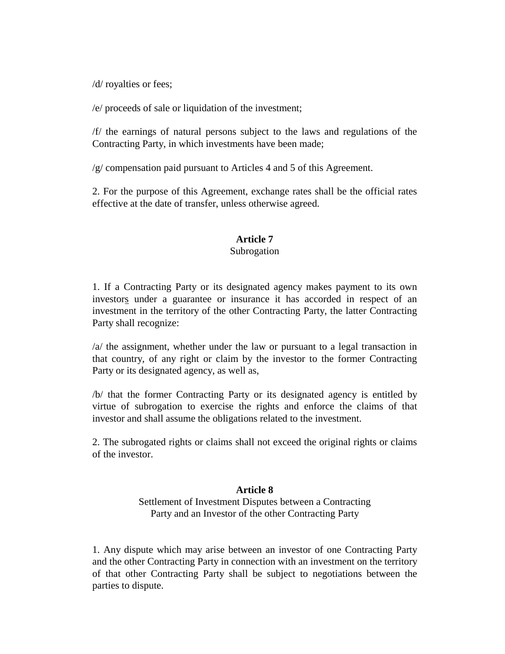/d/ royalties or fees;

/e/ proceeds of sale or liquidation of the investment;

/f/ the earnings of natural persons subject to the laws and regulations of the Contracting Party, in which investments have been made;

/g/ compensation paid pursuant to Articles 4 and 5 of this Agreement.

2. For the purpose of this Agreement, exchange rates shall be the official rates effective at the date of transfer, unless otherwise agreed.

### **Article 7**

#### Subrogation

1. If a Contracting Party or its designated agency makes payment to its own investors under a guarantee or insurance it has accorded in respect of an investment in the territory of the other Contracting Party, the latter Contracting Party shall recognize:

/a/ the assignment, whether under the law or pursuant to a legal transaction in that country, of any right or claim by the investor to the former Contracting Party or its designated agency, as well as,

/b/ that the former Contracting Party or its designated agency is entitled by virtue of subrogation to exercise the rights and enforce the claims of that investor and shall assume the obligations related to the investment.

2. The subrogated rights or claims shall not exceed the original rights or claims of the investor.

## **Article 8**

Settlement of Investment Disputes between a Contracting Party and an Investor of the other Contracting Party

1. Any dispute which may arise between an investor of one Contracting Party and the other Contracting Party in connection with an investment on the territory of that other Contracting Party shall be subject to negotiations between the parties to dispute.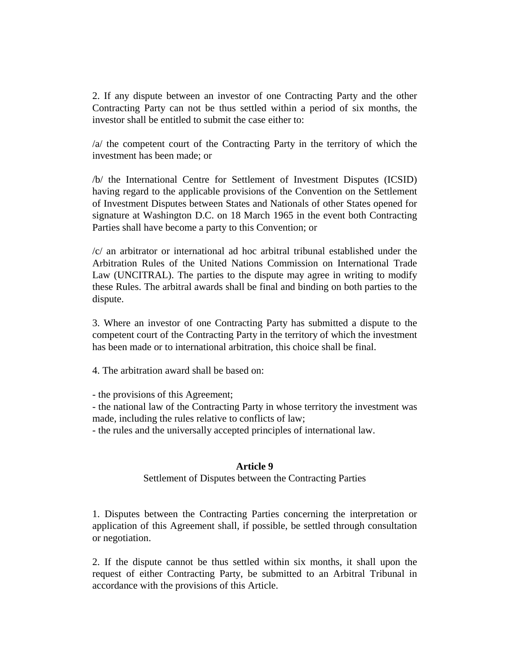2. If any dispute between an investor of one Contracting Party and the other Contracting Party can not be thus settled within a period of six months, the investor shall be entitled to submit the case either to:

/a/ the competent court of the Contracting Party in the territory of which the investment has been made; or

/b/ the International Centre for Settlement of Investment Disputes (ICSID) having regard to the applicable provisions of the Convention on the Settlement of Investment Disputes between States and Nationals of other States opened for signature at Washington D.C. on 18 March 1965 in the event both Contracting Parties shall have become a party to this Convention; or

/c/ an arbitrator or international ad hoc arbitral tribunal established under the Arbitration Rules of the United Nations Commission on International Trade Law (UNCITRAL). The parties to the dispute may agree in writing to modify these Rules. The arbitral awards shall be final and binding on both parties to the dispute.

3. Where an investor of one Contracting Party has submitted a dispute to the competent court of the Contracting Party in the territory of which the investment has been made or to international arbitration, this choice shall be final.

4. The arbitration award shall be based on:

- the provisions of this Agreement;

- the national law of the Contracting Party in whose territory the investment was made, including the rules relative to conflicts of law;

- the rules and the universally accepted principles of international law.

### **Article 9**

Settlement of Disputes between the Contracting Parties

1. Disputes between the Contracting Parties concerning the interpretation or application of this Agreement shall, if possible, be settled through consultation or negotiation.

2. If the dispute cannot be thus settled within six months, it shall upon the request of either Contracting Party, be submitted to an Arbitral Tribunal in accordance with the provisions of this Article.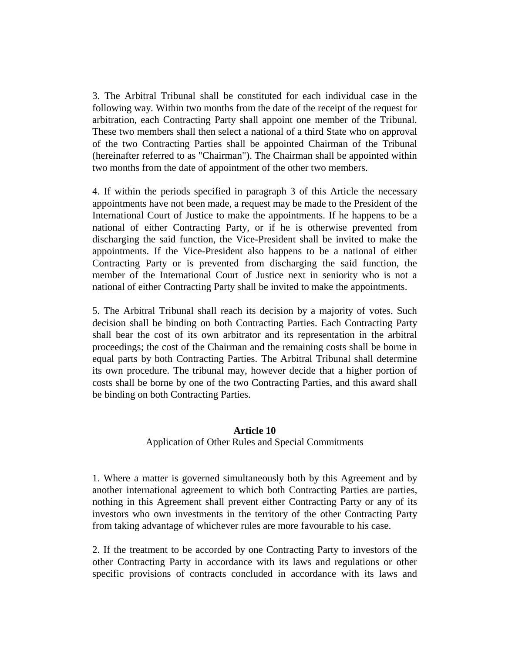3. The Arbitral Tribunal shall be constituted for each individual case in the following way. Within two months from the date of the receipt of the request for arbitration, each Contracting Party shall appoint one member of the Tribunal. These two members shall then select a national of a third State who on approval of the two Contracting Parties shall be appointed Chairman of the Tribunal (hereinafter referred to as "Chairman"). The Chairman shall be appointed within two months from the date of appointment of the other two members.

4. If within the periods specified in paragraph 3 of this Article the necessary appointments have not been made, a request may be made to the President of the International Court of Justice to make the appointments. If he happens to be a national of either Contracting Party, or if he is otherwise prevented from discharging the said function, the Vice-President shall be invited to make the appointments. If the Vice-President also happens to be a national of either Contracting Party or is prevented from discharging the said function, the member of the International Court of Justice next in seniority who is not a national of either Contracting Party shall be invited to make the appointments.

5. The Arbitral Tribunal shall reach its decision by a majority of votes. Such decision shall be binding on both Contracting Parties. Each Contracting Party shall bear the cost of its own arbitrator and its representation in the arbitral proceedings; the cost of the Chairman and the remaining costs shall be borne in equal parts by both Contracting Parties. The Arbitral Tribunal shall determine its own procedure. The tribunal may, however decide that a higher portion of costs shall be borne by one of the two Contracting Parties, and this award shall be binding on both Contracting Parties.

#### **Article 10**

#### Application of Other Rules and Special Commitments

1. Where a matter is governed simultaneously both by this Agreement and by another international agreement to which both Contracting Parties are parties, nothing in this Agreement shall prevent either Contracting Party or any of its investors who own investments in the territory of the other Contracting Party from taking advantage of whichever rules are more favourable to his case.

2. If the treatment to be accorded by one Contracting Party to investors of the other Contracting Party in accordance with its laws and regulations or other specific provisions of contracts concluded in accordance with its laws and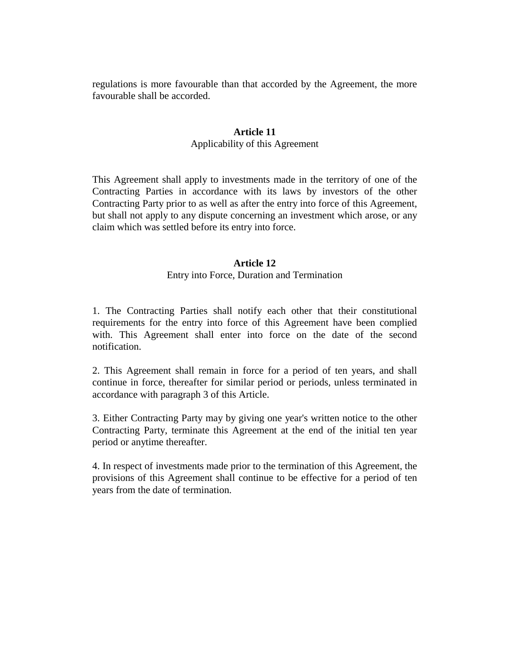regulations is more favourable than that accorded by the Agreement, the more favourable shall be accorded.

# **Article 11**

## Applicability of this Agreement

This Agreement shall apply to investments made in the territory of one of the Contracting Parties in accordance with its laws by investors of the other Contracting Party prior to as well as after the entry into force of this Agreement, but shall not apply to any dispute concerning an investment which arose, or any claim which was settled before its entry into force.

## **Article 12**

## Entry into Force, Duration and Termination

1. The Contracting Parties shall notify each other that their constitutional requirements for the entry into force of this Agreement have been complied with. This Agreement shall enter into force on the date of the second notification.

2. This Agreement shall remain in force for a period of ten years, and shall continue in force, thereafter for similar period or periods, unless terminated in accordance with paragraph 3 of this Article.

3. Either Contracting Party may by giving one year's written notice to the other Contracting Party, terminate this Agreement at the end of the initial ten year period or anytime thereafter.

4. In respect of investments made prior to the termination of this Agreement, the provisions of this Agreement shall continue to be effective for a period of ten years from the date of termination.